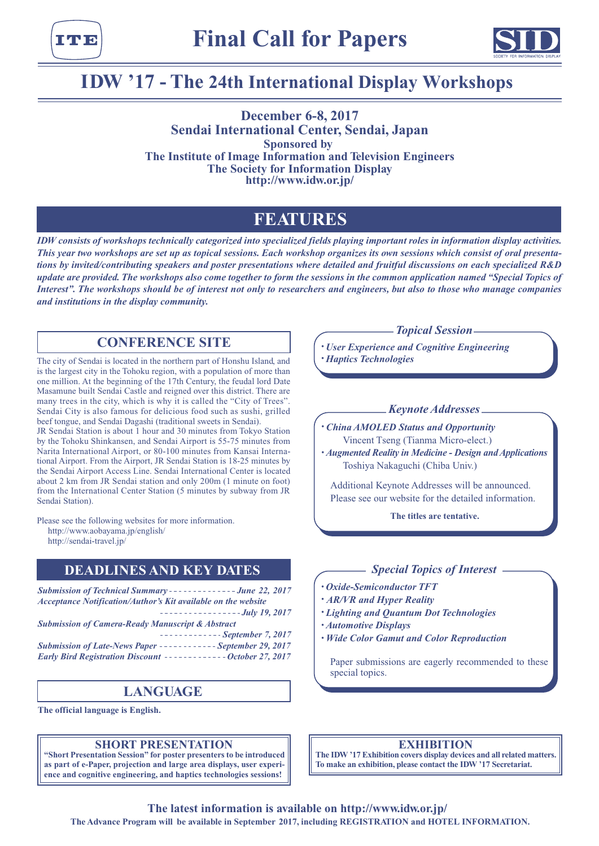



# **IDW '17 - The 24th International Display Workshops**

**December 6-8, 2017 Sendai International Center, Sendai, Japan Sponsored by The Institute of Image Information and Television Engineers The Society for Information Display http://www.idw.or.jp/**

# **FEATURES**

*IDW consists of workshops technically categorized into specialized fields playing important roles in information display activities. This year two workshops are set up as topical sessions. Each workshop organizes its own sessions which consist of oral presentations by invited/contributing speakers and poster presentations where detailed and fruitful discussions on each specialized R&D update are provided. The workshops also come together to form the sessions in the common application named "Special Topics of Interest". The workshops should be of interest not only to researchers and engineers, but also to those who manage companies and institutions in the display community.*

## **CONFERENCE SITE**

The city of Sendai is located in the northern part of Honshu Island, and is the largest city in the Tohoku region, with a population of more than one million. At the beginning of the 17th Century, the feudal lord Date Masamune built Sendai Castle and reigned over this district. There are many trees in the city, which is why it is called the "City of Trees". Sendai City is also famous for delicious food such as sushi, grilled beef tongue, and Sendai Dagashi (traditional sweets in Sendai).

JR Sendai Station is about 1 hour and 30 minutes from Tokyo Station by the Tohoku Shinkansen, and Sendai Airport is 55-75 minutes from Narita International Airport, or 80-100 minutes from Kansai International Airport. From the Airport, JR Sendai Station is 18-25 minutes by the Sendai Airport Access Line. Sendai International Center is located about 2 km from JR Sendai station and only 200m (1 minute on foot) from the International Center Station (5 minutes by subway from JR Sendai Station).

Please see the following websites for more information.

http://www.aobayama.jp/english/

http://sendai-travel.jp/

### **DEADLINES AND KEY DATES**

**Submission of Technical Summary - - - - - - - - - - - - - - June 22, 2017** *Acceptance Notification/Author's Kit available on the website July 19, 2017 Submission of Camera-Ready Manuscript & Abstract September 7, 2017 Submission of Late-News Paper ----------- September 29, 2017 Early Bird Registration Discount ------------- October 27, 2017* 

# **LANGUAGE**

**The official language is English.**

### **SHORT PRESENTATION**

**"Short Presentation Session" for poster presenters to be introduced as part of e-Paper, projection and large area displays, user experience and cognitive engineering, and haptics technologies sessions!**

*Topical Session*

*• User Experience and Cognitive Engineering • Haptics Technologies*

### *Keynote Addresses*

*• China AMOLED Status and Opportunity* Vincent Tseng (Tianma Micro-elect.)

*• Augmented Reality in Medicine - Design and Applications* Toshiya Nakaguchi (Chiba Univ.)

Additional Keynote Addresses will be announced. Please see our website for the detailed information.

**The titles are tentative.**

### *Special Topics of Interest*

- *• Oxide-Semiconductor TFT*
- *• AR/VR and Hyper Reality*
- *• Lighting and Quantum Dot Technologies*
- *• Automotive Displays*
- *• Wide Color Gamut and Color Reproduction*

Paper submissions are eagerly recommended to these special topics.

### **EXHIBITION**

**The IDW '17 Exhibition covers display devices and all related matters. To make an exhibition, please contact the IDW '17 Secretariat.**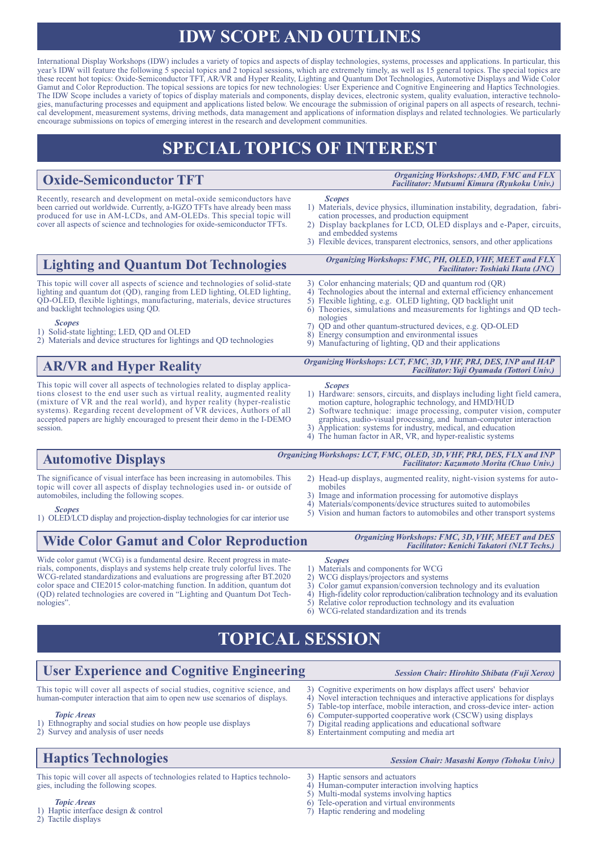# **IDW SCOPE AND OUTLINES**

International Display Workshops (IDW) includes a variety of topics and aspects of display technologies, systems, processes and applications. In particular, this year's IDW will feature the following 5 special topics and 2 topical sessions, which are extremely timely, as well as 15 general topics. The special topics are these recent hot topics: Oxide-Semiconductor TFT, AR/VR and Hyper Reality, Lighting and Quantum Dot Technologies, Automotive Displays and Wide Color Gamut and Color Reproduction. The topical sessions are topics for new technologies: User Experience and Cognitive Engineering and Haptics Technologies. The IDW Scope includes a variety of topics of display materials and components, display devices, electronic system, quality evaluation, interactive technologies, manufacturing processes and equipment and applications listed below. We encourage the submission of original papers on all aspects of research, technical development, measurement systems, driving methods, data management and applications of information displays and related technologies. We particularly encourage submissions on topics of emerging interest in the research and development communities.

# **SPECIAL TOPICS OF INTEREST**

# **Oxide-Semiconductor TFT**

Recently, research and development on metal-oxide semiconductors have been carried out worldwide. Currently, a-IGZO TFTs have already been mass produced for use in AM-LCDs, and AM-OLEDs. This special topic will cover all aspects of science and technologies for oxide-semiconductor TFTs.

*Organizing Workshops: AMD, FMC and FLX Facilitator: Mutsumi Kimura (Ryukoku Univ.)*

*Facilitator: Toshiaki Ikuta (JNC)*

- *Scopes* 1) Materials, device physics, illumination instability, degradation, fabrication processes, and production equipment
- 2) Display backplanes for LCD, OLED displays and e-Paper, circuits, and embedded systems

*Organizing Workshops: FMC, PH, OLED, VHF, MEET and FLX*

3) Flexible devices, transparent electronics, sensors, and other applications

# **Lighting and Quantum Dot Technologies**

This topic will cover all aspects of science and technologies of solid-state lighting and quantum dot (QD), ranging from LED lighting, OLED lighting, QD-OLED, flexible lightings, manufacturing, materials, device structures and backlight technologies using QD.

#### *Scopes*

- 1) Solid-state lighting; LED, QD and OLED
- 2) Materials and device structures for lightings and QD technologies

# **AR/VR and Hyper Reality**

This topic will cover all aspects of technologies related to display applications closest to the end user such as virtual reality, augmented reality (mixture of VR and the real world), and hyper reality (hyper-realistic systems). Regarding recent development of VR devices, Authors of all accepted papers are highly encouraged to present their demo in the I-DEMO session.

- 3) Color enhancing materials; QD and quantum rod (QR)
- 4) Technologies about the internal and external efficiency enhancement<br>5) Flexible lighting, e.g. OLED lighting, OD backlight unit
- 5) Flexible lighting, e.g. OLED lighting, QD backlight unit Theories, simulations and measurements for lightings and QD technologies
- 
- 7) QD and other quantum-structured devices, e.g. QD-OLED Energy consumption and environmental issues
- 9) Manufacturing of lighting, QD and their applications

#### *Organizing Workshops: LCT, FMC, 3D, VHF, PRJ, DES, INP and HAP Facilitator: Yuji Oyamada (Tottori Univ.)*

- *Scopes* 1) Hardware: sensors, circuits, and displays including light field camera,
- motion capture, holographic technology, and HMD/HUD 2) Software technique: image processing, computer vision, computer
- graphics, audio-visual processing, and human-computer interaction 3) Application: systems for industry, medical, and education
- 4) The human factor in AR, VR, and hyper-realistic systems

#### The significance of visual interface has been increasing in automobiles. This **Automotive Displays** 2) Head-up displays, augmented reality, night-vision systems for auto-*Organizing Workshops: LCT, FMC, OLED, 3D, VHF, PRJ, DES, FLX and INP Facilitator: Kazumoto Morita (Chuo Univ.)*

topic will cover all aspects of display technologies used in- or outside of automobiles, including the following scopes.

*Scopes* 1) OLED/LCD display and projection-display technologies for car interior use

# **Wide Color Gamut and Color Reproduction**

Wide color gamut (WCG) is a fundamental desire. Recent progress in materials, components, displays and systems help create truly colorful lives. The WCG-related standardizations and evaluations are progressing after BT.2020 color space and CIE2015 color-matching function. In addition, quantum dot (QD) related technologies are covered in "Lighting and Quantum Dot Technologies".

- mobiles 3) Image and information processing for automotive displays
- 
- 4) Materials/components/device structures suited to automobiles<br>5) Vision and human factors to automobiles and other transport s 5) Vision and human factors to automobiles and other transport systems

#### *Organizing Workshops: FMC, 3D, VHF, MEET and DES Facilitator: Kenichi Takatori (NLT Techs.)*

- *Scopes* Materials and components for WCG
- 2) WCG displays/projectors and systems
- 3) Color gamut expansion/conversion technology and its evaluation
- 
- 
- 

# **TOPICAL SESSION**

# **User Experience and Cognitive Engineering**

This topic will cover all aspects of social studies, cognitive science, and human-computer interaction that aim to open new use scenarios of displays.

### 3) Cognitive experiments on how displays affect users' behavior

- 
- 
- 6) Computer-supported cooperative work (CSCW) using displays Digital reading applications and educational software
- 8) Entertainment computing and media art

# **Haptics Technologies**

*Topic Areas*

*Session Chair: Masashi Konyo (Tohoku Univ.)*

This topic will cover all aspects of technologies related to Haptics technologies, including the following scopes.

*Topic Areas* 1) Haptic interface design & control 2) Tactile displays

3) Haptic sensors and actuators

- 4) Human-computer interaction involving haptics
- 5) Multi-modal systems involving haptics
- 6) Tele-operation and virtual environments<br>  $\sigma$ ) Haptic rendering and modeling Haptic rendering and modeling

- 
- 6) WCG-related standardization and its trends

4) High-fidelity color reproduction/calibration technology and its evaluation 5) Relative color reproduction technology and its evaluation

 $5)$  Relative color reproduction technology and its evaluation  $6)$  WCG-related standardization and its trends

- 1) Ethnography and social studies on how people use displays 2) Survey and analysis of user needs
	-
- 
- 

*Session Chair: Hirohito Shibata (Fuji Xerox)*

#### 4) Novel interaction techniques and interactive applications for displays 5) Table-top interface, mobile interaction, and cross-device inter-action Table-top interface, mobile interaction, and cross-device inter- action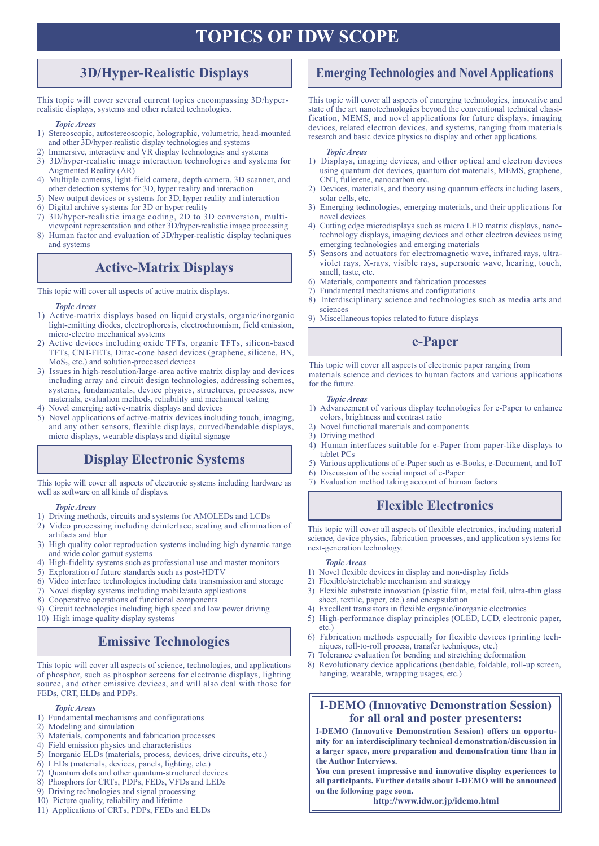# **TOPICS OF IDW SCOPE**

# **3D/Hyper-Realistic Displays**

This topic will cover several current topics encompassing 3D/hyperrealistic displays, systems and other related technologies.

### *Topic Areas*

- 1) Stereoscopic, autostereoscopic, holographic, volumetric, head-mounted and other 3D/hyper-realistic display technologies and systems
- 2) Immersive, interactive and VR display technologies and systems
- 3) 3D/hyper-realistic image interaction technologies and systems for Augmented Reality (AR)
- 4) Multiple cameras, light-field camera, depth camera, 3D scanner, and other detection systems for 3D, hyper reality and interaction
- 5) New output devices or systems for 3D, hyper reality and interaction
- 6) Digital archive systems for 3D or hyper reality
- 7) 3D/hyper-realistic image coding, 2D to 3D conversion, multiviewpoint representation and other 3D/hyper-realistic image processing
- 8) Human factor and evaluation of 3D/hyper-realistic display techniques and systems

# **Active-Matrix Displays**

This topic will cover all aspects of active matrix displays.

#### *Topic Areas*

- 1) Active-matrix displays based on liquid crystals, organic/inorganic light-emitting diodes, electrophoresis, electrochromism, field emission, micro-electro mechanical systems
- 2) Active devices including oxide TFTs, organic TFTs, silicon-based TFTs, CNT-FETs, Dirac-cone based devices (graphene, silicene, BN, MoS2, etc.) and solution-processed devices
- 3) Issues in high-resolution/large-area active matrix display and devices including array and circuit design technologies, addressing schemes, systems, fundamentals, device physics, structures, processes, new materials, evaluation methods, reliability and mechanical testing
- 4) Novel emerging active-matrix displays and devices
- 5) Novel applications of active-matrix devices including touch, imaging, and any other sensors, flexible displays, curved/bendable displays, micro displays, wearable displays and digital signage

# **Display Electronic Systems**

This topic will cover all aspects of electronic systems including hardware as 7) Evaluation method taking account of human factors well as software on all kinds of displays.

#### *Topic Areas*

- 1) Driving methods, circuits and systems for AMOLEDs and LCDs
- 2) Video processing including deinterlace, scaling and elimination of artifacts and blur
- 3) High quality color reproduction systems including high dynamic range and wide color gamut systems
- 4) High-fidelity systems such as professional use and master monitors
- 5) Exploration of future standards such as post-HDTV
- 6) Video interface technologies including data transmission and storage
- 7) Novel display systems including mobile/auto applications
- 8) Cooperative operations of functional components

9) Circuit technologies including high speed and low power driving 10) High image quality display systems

# **Emissive Technologies**

This topic will cover all aspects of science, technologies, and applications of phosphor, such as phosphor screens for electronic displays, lighting source, and other emissive devices, and will also deal with those for FEDs, CRT, ELDs and PDPs.

#### *Topic Areas*

- 1) Fundamental mechanisms and configurations
- 2) Modeling and simulation
- 3) Materials, components and fabrication processes
- 4) Field emission physics and characteristics
- 5) Inorganic ELDs (materials, process, devices, drive circuits, etc.)
- 6) LEDs (materials, devices, panels, lighting, etc.)
- 7) Quantum dots and other quantum-structured devices
- 8) Phosphors for CRTs, PDPs, FEDs, VFDs and LEDs
- 9) Driving technologies and signal processing
- 10) Picture quality, reliability and lifetime
- 11) Applications of CRTs, PDPs, FEDs and ELDs

# **Emerging Technologies and Novel Applications**

This topic will cover all aspects of emerging technologies, innovative and state of the art nanotechnologies beyond the conventional technical classification, MEMS, and novel applications for future displays, imaging devices, related electron devices, and systems, ranging from materials research and basic device physics to display and other applications.

#### *Topic Areas*

- 1) Displays, imaging devices, and other optical and electron devices using quantum dot devices, quantum dot materials, MEMS, graphene, CNT, fullerene, nanocarbon etc.
- 2) Devices, materials, and theory using quantum effects including lasers, solar cells, etc.
- 3) Emerging technologies, emerging materials, and their applications for novel devices
- 4) Cutting edge microdisplays such as micro LED matrix displays, nanotechnology displays, imaging devices and other electron devices using emerging technologies and emerging materials
- 5) Sensors and actuators for electromagnetic wave, infrared rays, ultraviolet rays, X-rays, visible rays, supersonic wave, hearing, touch, smell, taste, etc.
- 6) Materials, components and fabrication processes
- 7) Fundamental mechanisms and configurations
- 8) Interdisciplinary science and technologies such as media arts and sciences
- 9) Miscellaneous topics related to future displays

# **e-Paper**

This topic will cover all aspects of electronic paper ranging from materials science and devices to human factors and various applications for the future.

#### *Topic Areas*

- 1) Advancement of various display technologies for e-Paper to enhance colors, brightness and contrast ratio
- 2) Novel functional materials and components
- 3) Driving method
- 4) Human interfaces suitable for e-Paper from paper-like displays to tablet PCs
- 5) Various applications of e-Paper such as e-Books, e-Document, and IoT
- 6) Discussion of the social impact of e-Paper
- 

# **Flexible Electronics**

This topic will cover all aspects of flexible electronics, including material science, device physics, fabrication processes, and application systems for next-generation technology.

#### *Topic Areas*

- 1) Novel flexible devices in display and non-display fields
- 2) Flexible/stretchable mechanism and strategy
- 3) Flexible substrate innovation (plastic film, metal foil, ultra-thin glass sheet, textile, paper, etc.) and encapsulation
- 4) Excellent transistors in flexible organic/inorganic electronics
- 5) High-performance display principles (OLED, LCD, electronic paper, etc.)
- 6) Fabrication methods especially for flexible devices (printing techniques, roll-to-roll process, transfer techniques, etc.)
- 7) Tolerance evaluation for bending and stretching deformation
- 8) Revolutionary device applications (bendable, foldable, roll-up screen, hanging, wearable, wrapping usages, etc.)

## **I-DEMO (Innovative Demonstration Session) for all oral and poster presenters:**

**I-DEMO (Innovative Demonstration Session) offers an opportunity for an interdisciplinary technical demonstration/discussion in a larger space, more preparation and demonstration time than in the Author Interviews.**

**You can present impressive and innovative display experiences to all participants. Further details about I-DEMO will be announced on the following page soon.**

**http://www.idw.or.jp/idemo.html**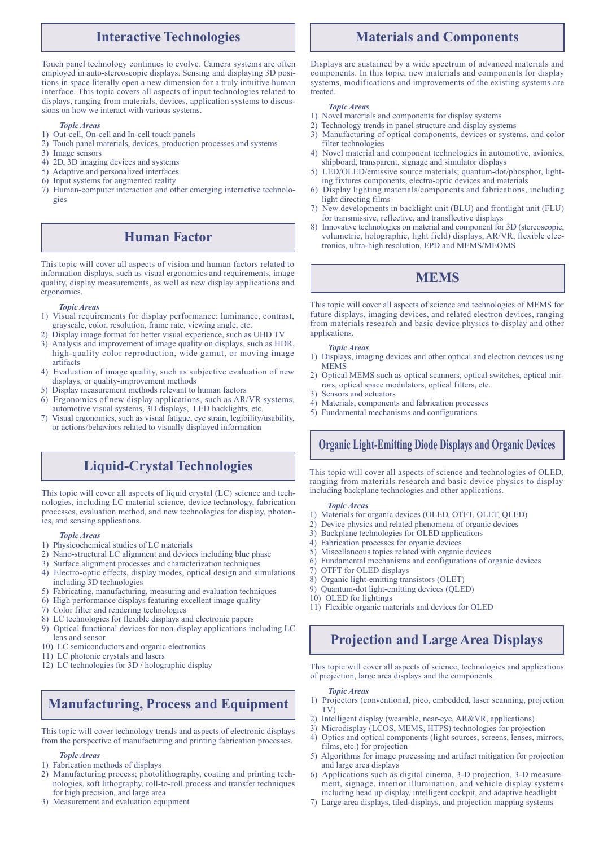## **Interactive Technologies**

Touch panel technology continues to evolve. Camera systems are often employed in auto-stereoscopic displays. Sensing and displaying 3D positions in space literally open a new dimension for a truly intuitive human interface. This topic covers all aspects of input technologies related to displays, ranging from materials, devices, application systems to discussions on how we interact with various systems.

#### *Topic Areas*

- 1) Out-cell, On-cell and In-cell touch panels
- 2) Touch panel materials, devices, production processes and systems
- 3) Image sensors
- 4) 2D, 3D imaging devices and systems
- 5) Adaptive and personalized interfaces
- 6) Input systems for augmented reality
- 7) Human-computer interaction and other emerging interactive technologies

# **Human Factor**

This topic will cover all aspects of vision and human factors related to information displays, such as visual ergonomics and requirements, image quality, display measurements, as well as new display applications and ergonomics.

#### *Topic Areas*

- 1) Visual requirements for display performance: luminance, contrast, grayscale, color, resolution, frame rate, viewing angle, etc.
- 2) Display image format for better visual experience, such as UHD TV
- 3) Analysis and improvement of image quality on displays, such as HDR, high-quality color reproduction, wide gamut, or moving image artifacts
- 4) Evaluation of image quality, such as subjective evaluation of new displays, or quality-improvement methods
- 5) Display measurement methods relevant to human factors
- Ergonomics of new display applications, such as AR/VR systems, automotive visual systems, 3D displays, LED backlights, etc.
- 7) Visual ergonomics, such as visual fatigue, eye strain, legibility/usability, or actions/behaviors related to visually displayed information

# **Liquid-Crystal Technologies**

This topic will cover all aspects of liquid crystal (LC) science and technologies, including LC material science, device technology, fabrication processes, evaluation method, and new technologies for display, photonics, and sensing applications.

#### *Topic Areas*

- 1) Physicochemical studies of LC materials
- 2) Nano-structural LC alignment and devices including blue phase
- 3) Surface alignment processes and characterization techniques
- 4) Electro-optic effects, display modes, optical design and simulations including 3D technologies
- 5) Fabricating, manufacturing, measuring and evaluation techniques
- 6) High performance displays featuring excellent image quality
- 7) Color filter and rendering technologies
- 8) LC technologies for flexible displays and electronic papers
- 9) Optical functional devices for non-display applications including LC lens and sensor
- 10) LC semiconductors and organic electronics
- 11) LC photonic crystals and lasers
- 12) LC technologies for 3D / holographic display

# **Manufacturing, Process and Equipment**

This topic will cover technology trends and aspects of electronic displays from the perspective of manufacturing and printing fabrication processes.

#### *Topic Areas*

- 1) Fabrication methods of displays
- 2) Manufacturing process; photolithography, coating and printing technologies, soft lithography, roll-to-roll process and transfer techniques for high precision, and large area
- 3) Measurement and evaluation equipment

# **Materials and Components**

Displays are sustained by a wide spectrum of advanced materials and components. In this topic, new materials and components for display systems, modifications and improvements of the existing systems are treated.

#### *Topic Areas*

- 1) Novel materials and components for display systems
- 2) Technology trends in panel structure and display systems
- 3) Manufacturing of optical components, devices or systems, and color filter technologies
- Novel material and component technologies in automotive, avionics, shipboard, transparent, signage and simulator displays
- 5) LED/OLED/emissive source materials; quantum-dot/phosphor, lighting fixtures components, electro-optic devices and materials
- 6) Display lighting materials/components and fabrications, including light directing films
- 7) New developments in backlight unit (BLU) and frontlight unit (FLU) for transmissive, reflective, and transflective displays
- 8) Innovative technologies on material and component for 3D (stereoscopic, volumetric, holographic, light field) displays, AR/VR, flexible electronics, ultra-high resolution, EPD and MEMS/MEOMS

# **MEMS**

This topic will cover all aspects of science and technologies of MEMS for future displays, imaging devices, and related electron devices, ranging from materials research and basic device physics to display and other applications.

#### *Topic Areas*

- 1) Displays, imaging devices and other optical and electron devices using MEMS
- 2) Optical MEMS such as optical scanners, optical switches, optical mirrors, optical space modulators, optical filters, etc.
- 3) Sensors and actuators
- 4) Materials, components and fabrication processes
- 5) Fundamental mechanisms and configurations

### **Organic Light-Emitting Diode Displays and Organic Devices**

This topic will cover all aspects of science and technologies of OLED, ranging from materials research and basic device physics to display including backplane technologies and other applications.

#### *Topic Areas*

- 1) Materials for organic devices (OLED, OTFT, OLET, QLED)
- 2) Device physics and related phenomena of organic devices
- 3) Backplane technologies for OLED applications
- 4) Fabrication processes for organic devices
- 5) Miscellaneous topics related with organic devices
- 6) Fundamental mechanisms and configurations of organic devices
- 7) OTFT for OLED displays
- 8) Organic light-emitting transistors (OLET)
- 9) Quantum-dot light-emitting devices (QLED)
- 10) OLED for lightings
- 11) Flexible organic materials and devices for OLED

# **Projection and Large Area Displays**

This topic will cover all aspects of science, technologies and applications of projection, large area displays and the components.

### *Topic Areas*

- 1) Projectors (conventional, pico, embedded, laser scanning, projection TV)
- 2) Intelligent display (wearable, near-eye, AR&VR, applications)
- 3) Microdisplay (LCOS, MEMS, HTPS) technologies for projection
- 4) Optics and optical components (light sources, screens, lenses, mirrors, films, etc.) for projection
- 5) Algorithms for image processing and artifact mitigation for projection and large area displays
- 6) Applications such as digital cinema, 3-D projection, 3-D measurement, signage, interior illumination, and vehicle display systems including head up display, intelligent cockpit, and adaptive headlight
- 7) Large-area displays, tiled-displays, and projection mapping systems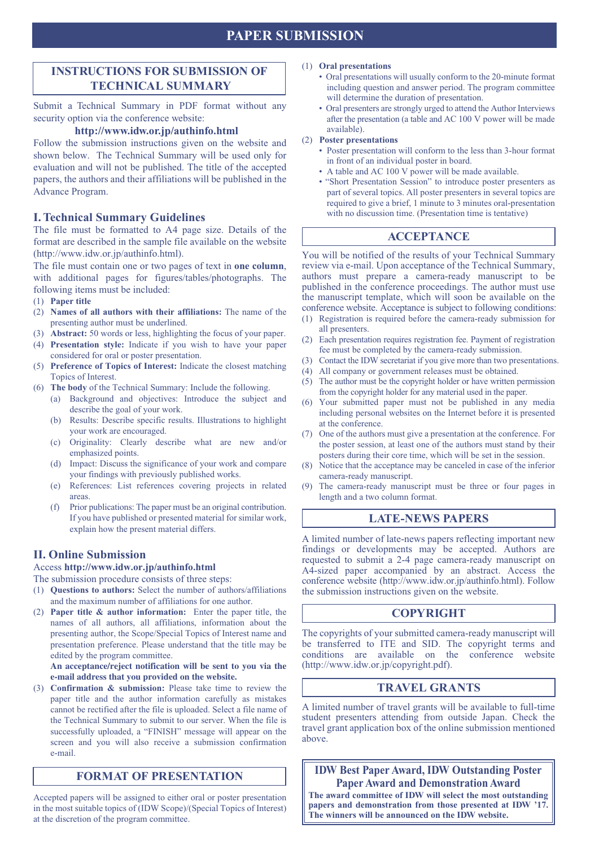# **PAPER SUBMISSION**

## **INSTRUCTIONS FOR SUBMISSION OF TECHNICAL SUMMARY**

Submit a Technical Summary in PDF format without any security option via the conference website:

### **http://www.idw.or.jp/authinfo.html**

Follow the submission instructions given on the website and shown below. The Technical Summary will be used only for evaluation and will not be published. The title of the accepted papers, the authors and their affiliations will be published in the Advance Program.

### **I. Technical Summary Guidelines**

The file must be formatted to A4 page size. Details of the format are described in the sample file available on the website (http://www.idw.or.jp/authinfo.html).

The file must contain one or two pages of text in **one column**, with additional pages for figures/tables/photographs. The following items must be included:

- (1) **Paper title**
- (2) **Names of all authors with their affiliations:** The name of the presenting author must be underlined.
- (3) **Abstract:** 50 words or less, highlighting the focus of your paper.
- (4) **Presentation style:** Indicate if you wish to have your paper considered for oral or poster presentation.
- (5) **Preference of Topics of Interest:** Indicate the closest matching Topics of Interest.
- (6) **The body** of the Technical Summary: Include the following.
	- (a) Background and objectives: Introduce the subject and describe the goal of your work.
		- (b) Results: Describe specific results. Illustrations to highlight your work are encouraged.
		- (c) Originality: Clearly describe what are new and/or emphasized points.
		- (d) Impact: Discuss the significance of your work and compare your findings with previously published works.
		- (e) References: List references covering projects in related areas.
		- (f) Prior publications: The paper must be an original contribution. If you have published or presented material for similar work, explain how the present material differs.

### **II. Online Submission**

Access **http://www.idw.or.jp/authinfo.html**

The submission procedure consists of three steps:

- (1) **Questions to authors:** Select the number of authors/affiliations and the maximum number of affiliations for one author.
- (2) **Paper title & author information:** Enter the paper title, the names of all authors, all affiliations, information about the presenting author, the Scope/Special Topics of Interest name and presentation preference. Please understand that the title may be edited by the program committee.

**An acceptance/reject notification will be sent to you via the e-mail address that you provided on the website.**

(3) **Confirmation & submission:** Please take time to review the paper title and the author information carefully as mistakes cannot be rectified after the file is uploaded. Select a file name of the Technical Summary to submit to our server. When the file is successfully uploaded, a "FINISH" message will appear on the screen and you will also receive a submission confirmation e-mail.

# **FORMAT OF PRESENTATION**

Accepted papers will be assigned to either oral or poster presentation in the most suitable topics of (IDW Scope)/(Special Topics of Interest) at the discretion of the program committee.

### (1) **Oral presentations**

- Oral presentations will usually conform to the 20-minute format including question and answer period. The program committee will determine the duration of presentation.
- Oral presenters are strongly urged to attend the Author Interviews after the presentation (a table and AC 100 V power will be made available).
- (2) **Poster presentations**
	- Poster presentation will conform to the less than 3-hour format in front of an individual poster in board.
	- A table and AC 100 V power will be made available.
	- "Short Presentation Session" to introduce poster presenters as part of several topics. All poster presenters in several topics are required to give a brief, 1 minute to 3 minutes oral-presentation with no discussion time. (Presentation time is tentative)

### **ACCEPTANCE**

You will be notified of the results of your Technical Summary review via e-mail. Upon acceptance of the Technical Summary, authors must prepare a camera-ready manuscript to be published in the conference proceedings. The author must use the manuscript template, which will soon be available on the conference website. Acceptance is subject to following conditions:

- (1) Registration is required before the camera-ready submission for all presenters.
- (2) Each presentation requires registration fee. Payment of registration fee must be completed by the camera-ready submission.
- (3) Contact the IDW secretariat if you give more than two presentations.
- (4) All company or government releases must be obtained.
- (5) The author must be the copyright holder or have written permission from the copyright holder for any material used in the paper.
- (6) Your submitted paper must not be published in any media including personal websites on the Internet before it is presented at the conference.
- (7) One of the authors must give a presentation at the conference. For the poster session, at least one of the authors must stand by their posters during their core time, which will be set in the session.
- (8) Notice that the acceptance may be canceled in case of the inferior camera-ready manuscript.
- (9) The camera-ready manuscript must be three or four pages in length and a two column format.

### **LATE-NEWS PAPERS**

A limited number of late-news papers reflecting important new findings or developments may be accepted. Authors are requested to submit a 2-4 page camera-ready manuscript on A4-sized paper accompanied by an abstract. Access the conference website (http://www.idw.or.jp/authinfo.html). Follow the submission instructions given on the website.

### **COPYRIGHT**

The copyrights of your submitted camera-ready manuscript will be transferred to ITE and SID. The copyright terms and conditions are available on the conference website (http://www.idw.or.jp/copyright.pdf).

### **TRAVEL GRANTS**

A limited number of travel grants will be available to full-time student presenters attending from outside Japan. Check the travel grant application box of the online submission mentioned above.

**IDW Best Paper Award, IDW Outstanding Poster Paper Award and Demonstration Award**

**The award committee of IDW will select the most outstanding papers and demonstration from those presented at IDW '17. The winners will be announced on the IDW website.**